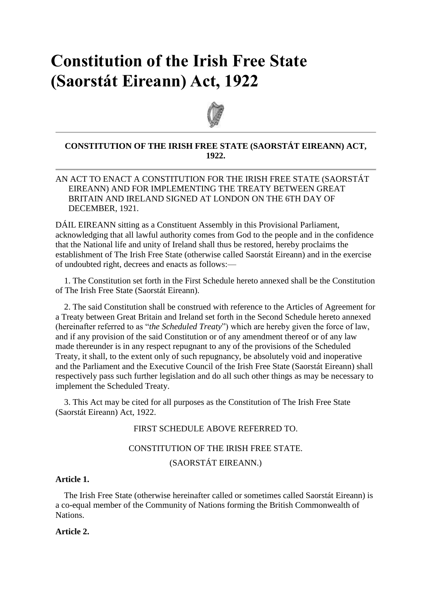# **Constitution of the Irish Free State (Saorstát Eireann) Act, 1922**



# **CONSTITUTION OF THE IRISH FREE STATE (SAORSTÁT EIREANN) ACT, 1922.**

# AN ACT TO ENACT A CONSTITUTION FOR THE IRISH FREE STATE (SAORSTÁT EIREANN) AND FOR IMPLEMENTING THE TREATY BETWEEN GREAT BRITAIN AND IRELAND SIGNED AT LONDON ON THE 6TH DAY OF DECEMBER, 1921.

DÁIL EIREANN sitting as a Constituent Assembly in this Provisional Parliament, acknowledging that all lawful authority comes from God to the people and in the confidence that the National life and unity of Ireland shall thus be restored, hereby proclaims the establishment of The Irish Free State (otherwise called Saorstát Eireann) and in the exercise of undoubted right, decrees and enacts as follows:—

1. The Constitution set forth in the First Schedule hereto annexed shall be the Constitution of The Irish Free State (Saorstát Eireann).

2. The said Constitution shall be construed with reference to the Articles of Agreement for a Treaty between Great Britain and Ireland set forth in the Second Schedule hereto annexed (hereinafter referred to as "*the Scheduled Treaty*") which are hereby given the force of law, and if any provision of the said Constitution or of any amendment thereof or of any law made thereunder is in any respect repugnant to any of the provisions of the Scheduled Treaty, it shall, to the extent only of such repugnancy, be absolutely void and inoperative and the Parliament and the Executive Council of the Irish Free State (Saorstát Eireann) shall respectively pass such further legislation and do all such other things as may be necessary to implement the Scheduled Treaty.

3. This Act may be cited for all purposes as the Constitution of The Irish Free State (Saorstát Eireann) Act, 1922.

FIRST SCHEDULE ABOVE REFERRED TO.

# CONSTITUTION OF THE IRISH FREE STATE.

## (SAORSTÁT EIREANN.)

## **Article 1.**

The Irish Free State (otherwise hereinafter called or sometimes called Saorstát Eireann) is a co-equal member of the Community of Nations forming the British Commonwealth of Nations.

## **Article 2.**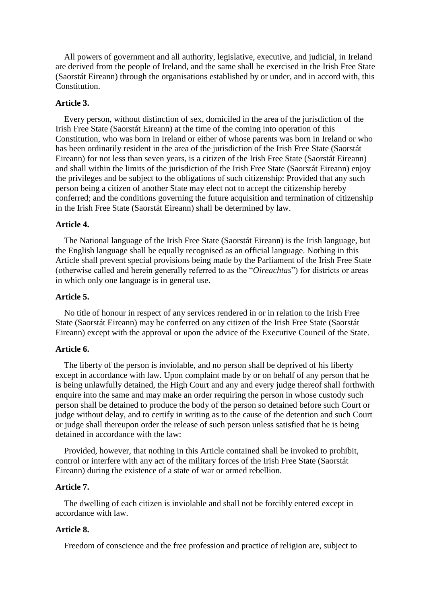All powers of government and all authority, legislative, executive, and judicial, in Ireland are derived from the people of Ireland, and the same shall be exercised in the Irish Free State (Saorstát Eireann) through the organisations established by or under, and in accord with, this Constitution.

## **Article 3.**

Every person, without distinction of sex, domiciled in the area of the jurisdiction of the Irish Free State (Saorstát Eireann) at the time of the coming into operation of this Constitution, who was born in Ireland or either of whose parents was born in Ireland or who has been ordinarily resident in the area of the jurisdiction of the Irish Free State (Saorstát Eireann) for not less than seven years, is a citizen of the Irish Free State (Saorstát Eireann) and shall within the limits of the jurisdiction of the Irish Free State (Saorstát Eireann) enjoy the privileges and be subject to the obligations of such citizenship: Provided that any such person being a citizen of another State may elect not to accept the citizenship hereby conferred; and the conditions governing the future acquisition and termination of citizenship in the Irish Free State (Saorstát Eireann) shall be determined by law.

## **Article 4.**

The National language of the Irish Free State (Saorstát Eireann) is the Irish language, but the English language shall be equally recognised as an official language. Nothing in this Article shall prevent special provisions being made by the Parliament of the Irish Free State (otherwise called and herein generally referred to as the "*Oireachtas*") for districts or areas in which only one language is in general use.

## **Article 5.**

No title of honour in respect of any services rendered in or in relation to the Irish Free State (Saorstát Eireann) may be conferred on any citizen of the Irish Free State (Saorstát Eireann) except with the approval or upon the advice of the Executive Council of the State.

#### **Article 6.**

The liberty of the person is inviolable, and no person shall be deprived of his liberty except in accordance with law. Upon complaint made by or on behalf of any person that he is being unlawfully detained, the High Court and any and every judge thereof shall forthwith enquire into the same and may make an order requiring the person in whose custody such person shall be detained to produce the body of the person so detained before such Court or judge without delay, and to certify in writing as to the cause of the detention and such Court or judge shall thereupon order the release of such person unless satisfied that he is being detained in accordance with the law:

Provided, however, that nothing in this Article contained shall be invoked to prohibit, control or interfere with any act of the military forces of the Irish Free State (Saorstát Eireann) during the existence of a state of war or armed rebellion.

## **Article 7.**

The dwelling of each citizen is inviolable and shall not be forcibly entered except in accordance with law.

# **Article 8.**

Freedom of conscience and the free profession and practice of religion are, subject to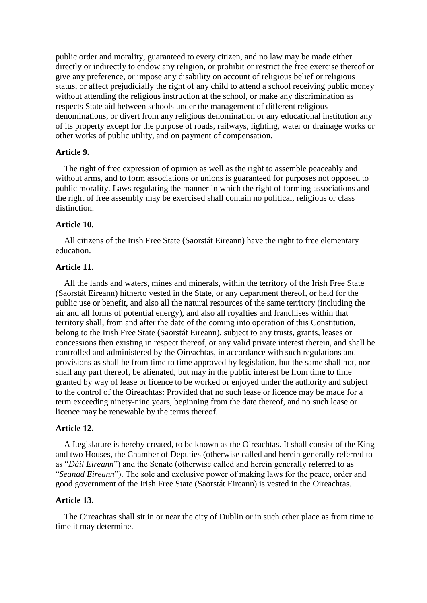public order and morality, guaranteed to every citizen, and no law may be made either directly or indirectly to endow any religion, or prohibit or restrict the free exercise thereof or give any preference, or impose any disability on account of religious belief or religious status, or affect prejudicially the right of any child to attend a school receiving public money without attending the religious instruction at the school, or make any discrimination as respects State aid between schools under the management of different religious denominations, or divert from any religious denomination or any educational institution any of its property except for the purpose of roads, railways, lighting, water or drainage works or other works of public utility, and on payment of compensation.

## **Article 9.**

The right of free expression of opinion as well as the right to assemble peaceably and without arms, and to form associations or unions is guaranteed for purposes not opposed to public morality. Laws regulating the manner in which the right of forming associations and the right of free assembly may be exercised shall contain no political, religious or class distinction.

## **Article 10.**

All citizens of the Irish Free State (Saorstát Eireann) have the right to free elementary education.

## **Article 11.**

All the lands and waters, mines and minerals, within the territory of the Irish Free State (Saorstát Eireann) hitherto vested in the State, or any department thereof, or held for the public use or benefit, and also all the natural resources of the same territory (including the air and all forms of potential energy), and also all royalties and franchises within that territory shall, from and after the date of the coming into operation of this Constitution, belong to the Irish Free State (Saorstát Eireann), subject to any trusts, grants, leases or concessions then existing in respect thereof, or any valid private interest therein, and shall be controlled and administered by the Oireachtas, in accordance with such regulations and provisions as shall be from time to time approved by legislation, but the same shall not, nor shall any part thereof, be alienated, but may in the public interest be from time to time granted by way of lease or licence to be worked or enjoyed under the authority and subject to the control of the Oireachtas: Provided that no such lease or licence may be made for a term exceeding ninety-nine years, beginning from the date thereof, and no such lease or licence may be renewable by the terms thereof.

## **Article 12.**

A Legislature is hereby created, to be known as the Oireachtas. It shall consist of the King and two Houses, the Chamber of Deputies (otherwise called and herein generally referred to as "*Dáil Eireann*") and the Senate (otherwise called and herein generally referred to as "*Seanad Eireann*"). The sole and exclusive power of making laws for the peace, order and good government of the Irish Free State (Saorstát Eireann) is vested in the Oireachtas.

## **Article 13.**

The Oireachtas shall sit in or near the city of Dublin or in such other place as from time to time it may determine.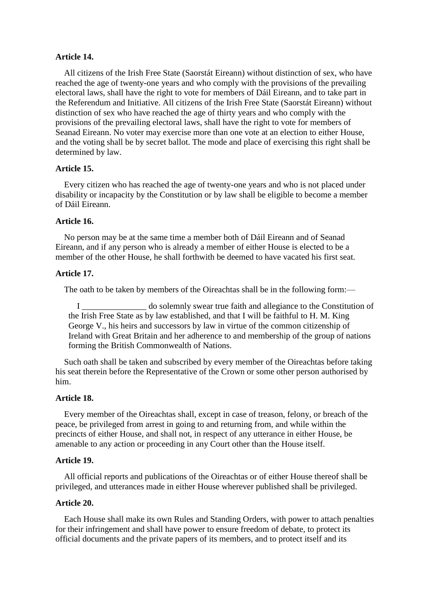## **Article 14.**

All citizens of the Irish Free State (Saorstát Eireann) without distinction of sex, who have reached the age of twenty-one years and who comply with the provisions of the prevailing electoral laws, shall have the right to vote for members of Dáil Eireann, and to take part in the Referendum and Initiative. All citizens of the Irish Free State (Saorstát Eireann) without distinction of sex who have reached the age of thirty years and who comply with the provisions of the prevailing electoral laws, shall have the right to vote for members of Seanad Eireann. No voter may exercise more than one vote at an election to either House, and the voting shall be by secret ballot. The mode and place of exercising this right shall be determined by law.

## **Article 15.**

Every citizen who has reached the age of twenty-one years and who is not placed under disability or incapacity by the Constitution or by law shall be eligible to become a member of Dáil Eireann.

#### **Article 16.**

No person may be at the same time a member both of Dáil Eireann and of Seanad Eireann, and if any person who is already a member of either House is elected to be a member of the other House, he shall forthwith be deemed to have vacated his first seat.

#### **Article 17.**

The oath to be taken by members of the Oireachtas shall be in the following form:—

I \_\_\_\_\_\_\_\_\_\_\_\_\_\_\_ do solemnly swear true faith and allegiance to the Constitution of the Irish Free State as by law established, and that I will be faithful to H. M. King George V., his heirs and successors by law in virtue of the common citizenship of Ireland with Great Britain and her adherence to and membership of the group of nations forming the British Commonwealth of Nations.

Such oath shall be taken and subscribed by every member of the Oireachtas before taking his seat therein before the Representative of the Crown or some other person authorised by him.

#### **Article 18.**

Every member of the Oireachtas shall, except in case of treason, felony, or breach of the peace, be privileged from arrest in going to and returning from, and while within the precincts of either House, and shall not, in respect of any utterance in either House, be amenable to any action or proceeding in any Court other than the House itself.

#### **Article 19.**

All official reports and publications of the Oireachtas or of either House thereof shall be privileged, and utterances made in either House wherever published shall be privileged.

#### **Article 20.**

Each House shall make its own Rules and Standing Orders, with power to attach penalties for their infringement and shall have power to ensure freedom of debate, to protect its official documents and the private papers of its members, and to protect itself and its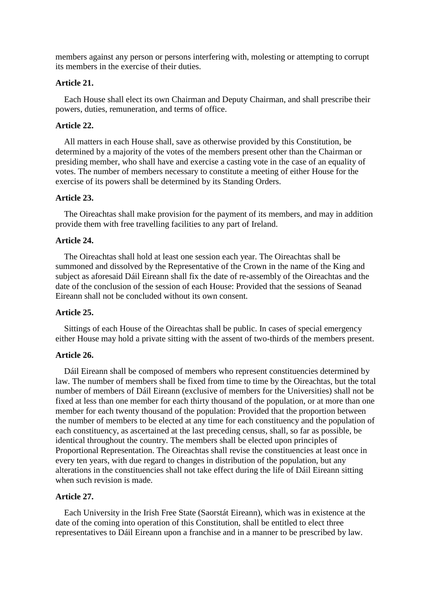members against any person or persons interfering with, molesting or attempting to corrupt its members in the exercise of their duties.

## **Article 21.**

Each House shall elect its own Chairman and Deputy Chairman, and shall prescribe their powers, duties, remuneration, and terms of office.

#### **Article 22.**

All matters in each House shall, save as otherwise provided by this Constitution, be determined by a majority of the votes of the members present other than the Chairman or presiding member, who shall have and exercise a casting vote in the case of an equality of votes. The number of members necessary to constitute a meeting of either House for the exercise of its powers shall be determined by its Standing Orders.

#### **Article 23.**

The Oireachtas shall make provision for the payment of its members, and may in addition provide them with free travelling facilities to any part of Ireland.

#### **Article 24.**

The Oireachtas shall hold at least one session each year. The Oireachtas shall be summoned and dissolved by the Representative of the Crown in the name of the King and subject as aforesaid Dáil Eireann shall fix the date of re-assembly of the Oireachtas and the date of the conclusion of the session of each House: Provided that the sessions of Seanad Eireann shall not be concluded without its own consent.

## **Article 25.**

Sittings of each House of the Oireachtas shall be public. In cases of special emergency either House may hold a private sitting with the assent of two-thirds of the members present.

#### **Article 26.**

Dáil Eireann shall be composed of members who represent constituencies determined by law. The number of members shall be fixed from time to time by the Oireachtas, but the total number of members of Dáil Eireann (exclusive of members for the Universities) shall not be fixed at less than one member for each thirty thousand of the population, or at more than one member for each twenty thousand of the population: Provided that the proportion between the number of members to be elected at any time for each constituency and the population of each constituency, as ascertained at the last preceding census, shall, so far as possible, be identical throughout the country. The members shall be elected upon principles of Proportional Representation. The Oireachtas shall revise the constituencies at least once in every ten years, with due regard to changes in distribution of the population, but any alterations in the constituencies shall not take effect during the life of Dáil Eireann sitting when such revision is made.

#### **Article 27.**

Each University in the Irish Free State (Saorstát Eireann), which was in existence at the date of the coming into operation of this Constitution, shall be entitled to elect three representatives to Dáil Eireann upon a franchise and in a manner to be prescribed by law.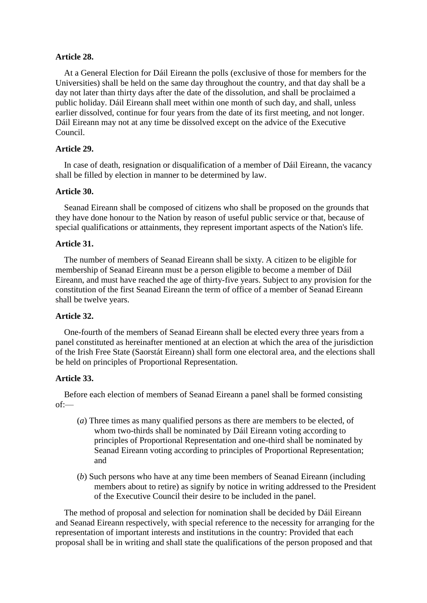## **Article 28.**

At a General Election for Dáil Eireann the polls (exclusive of those for members for the Universities) shall be held on the same day throughout the country, and that day shall be a day not later than thirty days after the date of the dissolution, and shall be proclaimed a public holiday. Dáil Eireann shall meet within one month of such day, and shall, unless earlier dissolved, continue for four years from the date of its first meeting, and not longer. Dáil Eireann may not at any time be dissolved except on the advice of the Executive Council.

## **Article 29.**

In case of death, resignation or disqualification of a member of Dáil Eireann, the vacancy shall be filled by election in manner to be determined by law.

#### **Article 30.**

Seanad Eireann shall be composed of citizens who shall be proposed on the grounds that they have done honour to the Nation by reason of useful public service or that, because of special qualifications or attainments, they represent important aspects of the Nation's life.

## **Article 31.**

The number of members of Seanad Eireann shall be sixty. A citizen to be eligible for membership of Seanad Eireann must be a person eligible to become a member of Dáil Eireann, and must have reached the age of thirty-five years. Subject to any provision for the constitution of the first Seanad Eireann the term of office of a member of Seanad Eireann shall be twelve years.

## **Article 32.**

One-fourth of the members of Seanad Eireann shall be elected every three years from a panel constituted as hereinafter mentioned at an election at which the area of the jurisdiction of the Irish Free State (Saorstát Eireann) shall form one electoral area, and the elections shall be held on principles of Proportional Representation.

## **Article 33.**

Before each election of members of Seanad Eireann a panel shall be formed consisting of:—

- (*a*) Three times as many qualified persons as there are members to be elected, of whom two-thirds shall be nominated by Dáil Eireann voting according to principles of Proportional Representation and one-third shall be nominated by Seanad Eireann voting according to principles of Proportional Representation; and
- (*b*) Such persons who have at any time been members of Seanad Eireann (including members about to retire) as signify by notice in writing addressed to the President of the Executive Council their desire to be included in the panel.

The method of proposal and selection for nomination shall be decided by Dáil Eireann and Seanad Eireann respectively, with special reference to the necessity for arranging for the representation of important interests and institutions in the country: Provided that each proposal shall be in writing and shall state the qualifications of the person proposed and that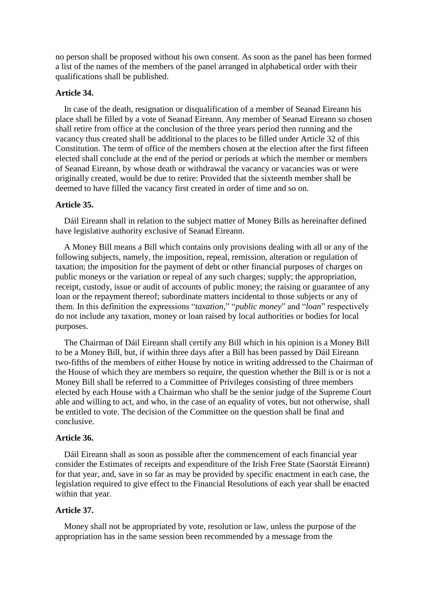no person shall be proposed without his own consent. As soon as the panel has been formed a list of the names of the members of the panel arranged in alphabetical order with their qualifications shall be published.

# **Article 34.**

In case of the death, resignation or disqualification of a member of Seanad Eireann his place shall be filled by a vote of Seanad Eireann. Any member of Seanad Eireann so chosen shall retire from office at the conclusion of the three years period then running and the vacancy thus created shall be additional to the places to be filled under Article 32 of this Constitution. The term of office of the members chosen at the election after the first fifteen elected shall conclude at the end of the period or periods at which the member or members of Seanad Eireann, by whose death or withdrawal the vacancy or vacancies was or were originally created, would be due to retire: Provided that the sixteenth member shall be deemed to have filled the vacancy first created in order of time and so on.

#### **Article 35.**

Dáil Eireann shall in relation to the subject matter of Money Bills as hereinafter defined have legislative authority exclusive of Seanad Eireann.

A Money Bill means a Bill which contains only provisions dealing with all or any of the following subjects, namely, the imposition, repeal, remission, alteration or regulation of taxation; the imposition for the payment of debt or other financial purposes of charges on public moneys or the variation or repeal of any such charges; supply; the appropriation, receipt, custody, issue or audit of accounts of public money; the raising or guarantee of any loan or the repayment thereof; subordinate matters incidental to those subjects or any of them. In this definition the expressions "*taxation,*" "*public money*" and "*loan*" respectively do not include any taxation, money or loan raised by local authorities or bodies for local purposes.

The Chairman of Dáil Eireann shall certify any Bill which in his opinion is a Money Bill to be a Money Bill, but, if within three days after a Bill has been passed by Dáil Eireann two-fifths of the members of either House by notice in writing addressed to the Chairman of the House of which they are members so require, the question whether the Bill is or is not a Money Bill shall be referred to a Committee of Privileges consisting of three members elected by each House with a Chairman who shall be the senior judge of the Supreme Court able and willing to act, and who, in the case of an equality of votes, but not otherwise, shall be entitled to vote. The decision of the Committee on the question shall be final and conclusive.

#### **Article 36.**

Dáil Eireann shall as soon as possible after the commencement of each financial year consider the Estimates of receipts and expenditure of the Irish Free State (Saorstát Eireann) for that year, and, save in so far as may be provided by specific enactment in each case, the legislation required to give effect to the Financial Resolutions of each year shall be enacted within that year.

## **Article 37.**

Money shall not be appropriated by vote, resolution or law, unless the purpose of the appropriation has in the same session been recommended by a message from the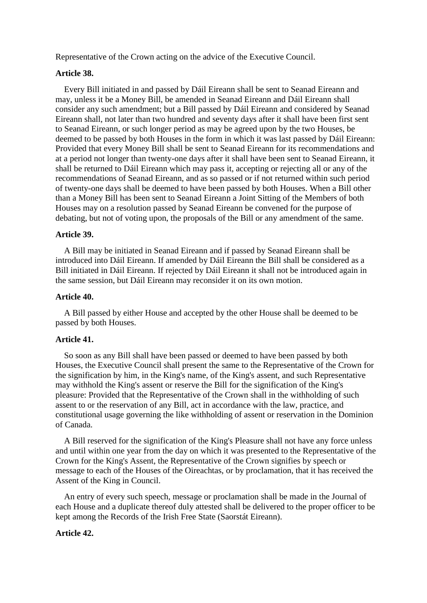Representative of the Crown acting on the advice of the Executive Council.

## **Article 38.**

Every Bill initiated in and passed by Dáil Eireann shall be sent to Seanad Eireann and may, unless it be a Money Bill, be amended in Seanad Eireann and Dáil Eireann shall consider any such amendment; but a Bill passed by Dáil Eireann and considered by Seanad Eireann shall, not later than two hundred and seventy days after it shall have been first sent to Seanad Eireann, or such longer period as may be agreed upon by the two Houses, be deemed to be passed by both Houses in the form in which it was last passed by Dáil Eireann: Provided that every Money Bill shall be sent to Seanad Eireann for its recommendations and at a period not longer than twenty-one days after it shall have been sent to Seanad Eireann, it shall be returned to Dáil Eireann which may pass it, accepting or rejecting all or any of the recommendations of Seanad Eireann, and as so passed or if not returned within such period of twenty-one days shall be deemed to have been passed by both Houses. When a Bill other than a Money Bill has been sent to Seanad Eireann a Joint Sitting of the Members of both Houses may on a resolution passed by Seanad Eireann be convened for the purpose of debating, but not of voting upon, the proposals of the Bill or any amendment of the same.

## **Article 39.**

A Bill may be initiated in Seanad Eireann and if passed by Seanad Eireann shall be introduced into Dáil Eireann. If amended by Dáil Eireann the Bill shall be considered as a Bill initiated in Dáil Eireann. If rejected by Dáil Eireann it shall not be introduced again in the same session, but Dáil Eireann may reconsider it on its own motion.

## **Article 40.**

A Bill passed by either House and accepted by the other House shall be deemed to be passed by both Houses.

#### **Article 41.**

So soon as any Bill shall have been passed or deemed to have been passed by both Houses, the Executive Council shall present the same to the Representative of the Crown for the signification by him, in the King's name, of the King's assent, and such Representative may withhold the King's assent or reserve the Bill for the signification of the King's pleasure: Provided that the Representative of the Crown shall in the withholding of such assent to or the reservation of any Bill, act in accordance with the law, practice, and constitutional usage governing the like withholding of assent or reservation in the Dominion of Canada.

A Bill reserved for the signification of the King's Pleasure shall not have any force unless and until within one year from the day on which it was presented to the Representative of the Crown for the King's Assent, the Representative of the Crown signifies by speech or message to each of the Houses of the Oireachtas, or by proclamation, that it has received the Assent of the King in Council.

An entry of every such speech, message or proclamation shall be made in the Journal of each House and a duplicate thereof duly attested shall be delivered to the proper officer to be kept among the Records of the Irish Free State (Saorstát Eireann).

## **Article 42.**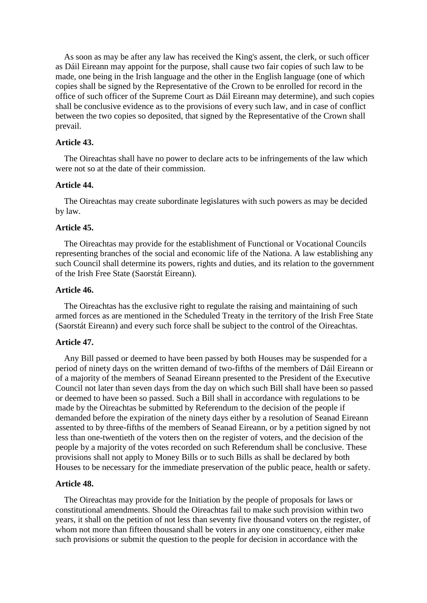As soon as may be after any law has received the King's assent, the clerk, or such officer as Dáil Eireann may appoint for the purpose, shall cause two fair copies of such law to be made, one being in the Irish language and the other in the English language (one of which copies shall be signed by the Representative of the Crown to be enrolled for record in the office of such officer of the Supreme Court as Dáil Eireann may determine), and such copies shall be conclusive evidence as to the provisions of every such law, and in case of conflict between the two copies so deposited, that signed by the Representative of the Crown shall prevail.

#### **Article 43.**

The Oireachtas shall have no power to declare acts to be infringements of the law which were not so at the date of their commission.

#### **Article 44.**

The Oireachtas may create subordinate legislatures with such powers as may be decided by law.

#### **Article 45.**

The Oireachtas may provide for the establishment of Functional or Vocational Councils representing branches of the social and economic life of the Nationa. A law establishing any such Council shall determine its powers, rights and duties, and its relation to the government of the Irish Free State (Saorstát Eireann).

#### **Article 46.**

The Oireachtas has the exclusive right to regulate the raising and maintaining of such armed forces as are mentioned in the Scheduled Treaty in the territory of the Irish Free State (Saorstát Eireann) and every such force shall be subject to the control of the Oireachtas.

#### **Article 47.**

Any Bill passed or deemed to have been passed by both Houses may be suspended for a period of ninety days on the written demand of two-fifths of the members of Dáil Eireann or of a majority of the members of Seanad Eireann presented to the President of the Executive Council not later than seven days from the day on which such Bill shall have been so passed or deemed to have been so passed. Such a Bill shall in accordance with regulations to be made by the Oireachtas be submitted by Referendum to the decision of the people if demanded before the expiration of the ninety days either by a resolution of Seanad Eireann assented to by three-fifths of the members of Seanad Eireann, or by a petition signed by not less than one-twentieth of the voters then on the register of voters, and the decision of the people by a majority of the votes recorded on such Referendum shall be conclusive. These provisions shall not apply to Money Bills or to such Bills as shall be declared by both Houses to be necessary for the immediate preservation of the public peace, health or safety.

#### **Article 48.**

The Oireachtas may provide for the Initiation by the people of proposals for laws or constitutional amendments. Should the Oireachtas fail to make such provision within two years, it shall on the petition of not less than seventy five thousand voters on the register, of whom not more than fifteen thousand shall be voters in any one constituency, either make such provisions or submit the question to the people for decision in accordance with the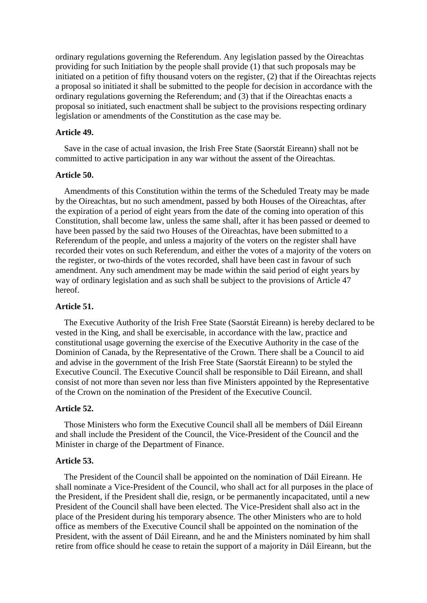ordinary regulations governing the Referendum. Any legislation passed by the Oireachtas providing for such Initiation by the people shall provide (1) that such proposals may be initiated on a petition of fifty thousand voters on the register, (2) that if the Oireachtas rejects a proposal so initiated it shall be submitted to the people for decision in accordance with the ordinary regulations governing the Referendum; and (3) that if the Oireachtas enacts a proposal so initiated, such enactment shall be subject to the provisions respecting ordinary legislation or amendments of the Constitution as the case may be.

#### **Article 49.**

Save in the case of actual invasion, the Irish Free State (Saorstát Eireann) shall not be committed to active participation in any war without the assent of the Oireachtas.

#### **Article 50.**

Amendments of this Constitution within the terms of the Scheduled Treaty may be made by the Oireachtas, but no such amendment, passed by both Houses of the Oireachtas, after the expiration of a period of eight years from the date of the coming into operation of this Constitution, shall become law, unless the same shall, after it has been passed or deemed to have been passed by the said two Houses of the Oireachtas, have been submitted to a Referendum of the people, and unless a majority of the voters on the register shall have recorded their votes on such Referendum, and either the votes of a majority of the voters on the register, or two-thirds of the votes recorded, shall have been cast in favour of such amendment. Any such amendment may be made within the said period of eight years by way of ordinary legislation and as such shall be subject to the provisions of Article 47 hereof.

#### **Article 51.**

The Executive Authority of the Irish Free State (Saorstát Eireann) is hereby declared to be vested in the King, and shall be exercisable, in accordance with the law, practice and constitutional usage governing the exercise of the Executive Authority in the case of the Dominion of Canada, by the Representative of the Crown. There shall be a Council to aid and advise in the government of the Irish Free State (Saorstát Eireann) to be styled the Executive Council. The Executive Council shall be responsible to Dáil Eireann, and shall consist of not more than seven nor less than five Ministers appointed by the Representative of the Crown on the nomination of the President of the Executive Council.

#### **Article 52.**

Those Ministers who form the Executive Council shall all be members of Dáil Eireann and shall include the President of the Council, the Vice-President of the Council and the Minister in charge of the Department of Finance.

#### **Article 53.**

The President of the Council shall be appointed on the nomination of Dáil Eireann. He shall nominate a Vice-President of the Council, who shall act for all purposes in the place of the President, if the President shall die, resign, or be permanently incapacitated, until a new President of the Council shall have been elected. The Vice-President shall also act in the place of the President during his temporary absence. The other Ministers who are to hold office as members of the Executive Council shall be appointed on the nomination of the President, with the assent of Dáil Eireann, and he and the Ministers nominated by him shall retire from office should he cease to retain the support of a majority in Dáil Eireann, but the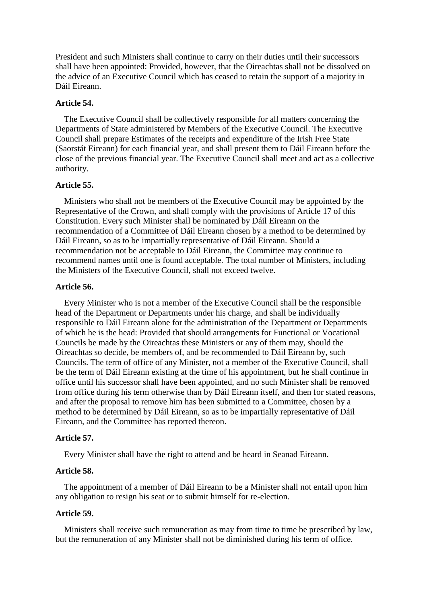President and such Ministers shall continue to carry on their duties until their successors shall have been appointed: Provided, however, that the Oireachtas shall not be dissolved on the advice of an Executive Council which has ceased to retain the support of a majority in Dáil Eireann.

## **Article 54.**

The Executive Council shall be collectively responsible for all matters concerning the Departments of State administered by Members of the Executive Council. The Executive Council shall prepare Estimates of the receipts and expenditure of the Irish Free State (Saorstát Eireann) for each financial year, and shall present them to Dáil Eireann before the close of the previous financial year. The Executive Council shall meet and act as a collective authority.

# **Article 55.**

Ministers who shall not be members of the Executive Council may be appointed by the Representative of the Crown, and shall comply with the provisions of Article 17 of this Constitution. Every such Minister shall be nominated by Dáil Eireann on the recommendation of a Committee of Dáil Eireann chosen by a method to be determined by Dáil Eireann, so as to be impartially representative of Dáil Eireann. Should a recommendation not be acceptable to Dáil Eireann, the Committee may continue to recommend names until one is found acceptable. The total number of Ministers, including the Ministers of the Executive Council, shall not exceed twelve.

## **Article 56.**

Every Minister who is not a member of the Executive Council shall be the responsible head of the Department or Departments under his charge, and shall be individually responsible to Dáil Eireann alone for the administration of the Department or Departments of which he is the head: Provided that should arrangements for Functional or Vocational Councils be made by the Oireachtas these Ministers or any of them may, should the Oireachtas so decide, be members of, and be recommended to Dáil Eireann by, such Councils. The term of office of any Minister, not a member of the Executive Council, shall be the term of Dáil Eireann existing at the time of his appointment, but he shall continue in office until his successor shall have been appointed, and no such Minister shall be removed from office during his term otherwise than by Dáil Eireann itself, and then for stated reasons, and after the proposal to remove him has been submitted to a Committee, chosen by a method to be determined by Dáil Eireann, so as to be impartially representative of Dáil Eireann, and the Committee has reported thereon.

#### **Article 57.**

Every Minister shall have the right to attend and be heard in Seanad Eireann.

## **Article 58.**

The appointment of a member of Dáil Eireann to be a Minister shall not entail upon him any obligation to resign his seat or to submit himself for re-election.

## **Article 59.**

Ministers shall receive such remuneration as may from time to time be prescribed by law, but the remuneration of any Minister shall not be diminished during his term of office.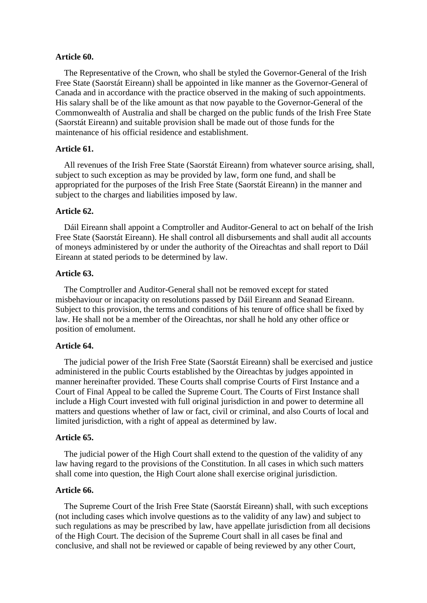#### **Article 60.**

The Representative of the Crown, who shall be styled the Governor-General of the Irish Free State (Saorstát Eireann) shall be appointed in like manner as the Governor-General of Canada and in accordance with the practice observed in the making of such appointments. His salary shall be of the like amount as that now payable to the Governor-General of the Commonwealth of Australia and shall be charged on the public funds of the Irish Free State (Saorstát Eireann) and suitable provision shall be made out of those funds for the maintenance of his official residence and establishment.

#### **Article 61.**

All revenues of the Irish Free State (Saorstát Eireann) from whatever source arising, shall, subject to such exception as may be provided by law, form one fund, and shall be appropriated for the purposes of the Irish Free State (Saorstát Eireann) in the manner and subject to the charges and liabilities imposed by law.

#### **Article 62.**

Dáil Eireann shall appoint a Comptroller and Auditor-General to act on behalf of the Irish Free State (Saorstát Eireann). He shall control all disbursements and shall audit all accounts of moneys administered by or under the authority of the Oireachtas and shall report to Dáil Eireann at stated periods to be determined by law.

#### **Article 63.**

The Comptroller and Auditor-General shall not be removed except for stated misbehaviour or incapacity on resolutions passed by Dáil Eireann and Seanad Eireann. Subject to this provision, the terms and conditions of his tenure of office shall be fixed by law. He shall not be a member of the Oireachtas, nor shall he hold any other office or position of emolument.

#### **Article 64.**

The judicial power of the Irish Free State (Saorstát Eireann) shall be exercised and justice administered in the public Courts established by the Oireachtas by judges appointed in manner hereinafter provided. These Courts shall comprise Courts of First Instance and a Court of Final Appeal to be called the Supreme Court. The Courts of First Instance shall include a High Court invested with full original jurisdiction in and power to determine all matters and questions whether of law or fact, civil or criminal, and also Courts of local and limited jurisdiction, with a right of appeal as determined by law.

#### **Article 65.**

The judicial power of the High Court shall extend to the question of the validity of any law having regard to the provisions of the Constitution. In all cases in which such matters shall come into question, the High Court alone shall exercise original jurisdiction.

## **Article 66.**

The Supreme Court of the Irish Free State (Saorstát Eireann) shall, with such exceptions (not including cases which involve questions as to the validity of any law) and subject to such regulations as may be prescribed by law, have appellate jurisdiction from all decisions of the High Court. The decision of the Supreme Court shall in all cases be final and conclusive, and shall not be reviewed or capable of being reviewed by any other Court,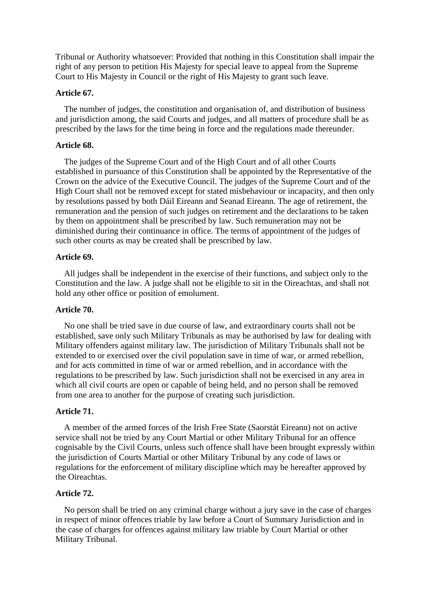Tribunal or Authority whatsoever: Provided that nothing in this Constitution shall impair the right of any person to petition His Majesty for special leave to appeal from the Supreme Court to His Majesty in Council or the right of His Majesty to grant such leave.

## **Article 67.**

The number of judges, the constitution and organisation of, and distribution of business and jurisdiction among, the said Courts and judges, and all matters of procedure shall be as prescribed by the laws for the time being in force and the regulations made thereunder.

#### **Article 68.**

The judges of the Supreme Court and of the High Court and of all other Courts established in pursuance of this Constitution shall be appointed by the Representative of the Crown on the advice of the Executive Council. The judges of the Supreme Court and of the High Court shall not be removed except for stated misbehaviour or incapacity, and then only by resolutions passed by both Dáil Eireann and Seanad Eireann. The age of retirement, the remuneration and the pension of such judges on retirement and the declarations to be taken by them on appointment shall be prescribed by law. Such remuneration may not be diminished during their continuance in office. The terms of appointment of the judges of such other courts as may be created shall be prescribed by law.

## **Article 69.**

All judges shall be independent in the exercise of their functions, and subject only to the Constitution and the law. A judge shall not be eligible to sit in the Oireachtas, and shall not hold any other office or position of emolument.

#### **Article 70.**

No one shall be tried save in due course of law, and extraordinary courts shall not be established, save only such Military Tribunals as may be authorised by law for dealing with Military offenders against military law. The jurisdiction of Military Tribunals shall not be extended to or exercised over the civil population save in time of war, or armed rebellion, and for acts committed in time of war or armed rebellion, and in accordance with the regulations to be prescribed by law. Such jurisdiction shall not be exercised in any area in which all civil courts are open or capable of being held, and no person shall be removed from one area to another for the purpose of creating such jurisdiction.

#### **Article 71.**

A member of the armed forces of the Irish Free State (Saorstát Eireann) not on active service shall not be tried by any Court Martial or other Military Tribunal for an offence cognisable by the Civil Courts, unless such offence shall have been brought expressly within the jurisdiction of Courts Martial or other Military Tribunal by any code of laws or regulations for the enforcement of military discipline which may be hereafter approved by the Oireachtas.

## **Article 72.**

No person shall be tried on any criminal charge without a jury save in the case of charges in respect of minor offences triable by law before a Court of Summary Jurisdiction and in the case of charges for offences against military law triable by Court Martial or other Military Tribunal.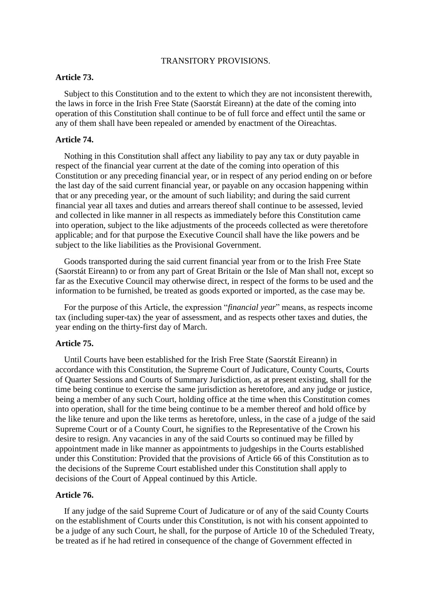## TRANSITORY PROVISIONS.

## **Article 73.**

Subject to this Constitution and to the extent to which they are not inconsistent therewith, the laws in force in the Irish Free State (Saorstát Eireann) at the date of the coming into operation of this Constitution shall continue to be of full force and effect until the same or any of them shall have been repealed or amended by enactment of the Oireachtas.

## **Article 74.**

Nothing in this Constitution shall affect any liability to pay any tax or duty payable in respect of the financial year current at the date of the coming into operation of this Constitution or any preceding financial year, or in respect of any period ending on or before the last day of the said current financial year, or payable on any occasion happening within that or any preceding year, or the amount of such liability; and during the said current financial year all taxes and duties and arrears thereof shall continue to be assessed, levied and collected in like manner in all respects as immediately before this Constitution came into operation, subject to the like adjustments of the proceeds collected as were theretofore applicable; and for that purpose the Executive Council shall have the like powers and be subject to the like liabilities as the Provisional Government.

Goods transported during the said current financial year from or to the Irish Free State (Saorstát Eireann) to or from any part of Great Britain or the Isle of Man shall not, except so far as the Executive Council may otherwise direct, in respect of the forms to be used and the information to be furnished, be treated as goods exported or imported, as the case may be.

For the purpose of this Article, the expression "*financial year*" means, as respects income tax (including super-tax) the year of assessment, and as respects other taxes and duties, the year ending on the thirty-first day of March.

## **Article 75.**

Until Courts have been established for the Irish Free State (Saorstát Eireann) in accordance with this Constitution, the Supreme Court of Judicature, County Courts, Courts of Quarter Sessions and Courts of Summary Jurisdiction, as at present existing, shall for the time being continue to exercise the same jurisdiction as heretofore, and any judge or justice, being a member of any such Court, holding office at the time when this Constitution comes into operation, shall for the time being continue to be a member thereof and hold office by the like tenure and upon the like terms as heretofore, unless, in the case of a judge of the said Supreme Court or of a County Court, he signifies to the Representative of the Crown his desire to resign. Any vacancies in any of the said Courts so continued may be filled by appointment made in like manner as appointments to judgeships in the Courts established under this Constitution: Provided that the provisions of Article 66 of this Constitution as to the decisions of the Supreme Court established under this Constitution shall apply to decisions of the Court of Appeal continued by this Article.

## **Article 76.**

If any judge of the said Supreme Court of Judicature or of any of the said County Courts on the establishment of Courts under this Constitution, is not with his consent appointed to be a judge of any such Court, he shall, for the purpose of Article 10 of the Scheduled Treaty, be treated as if he had retired in consequence of the change of Government effected in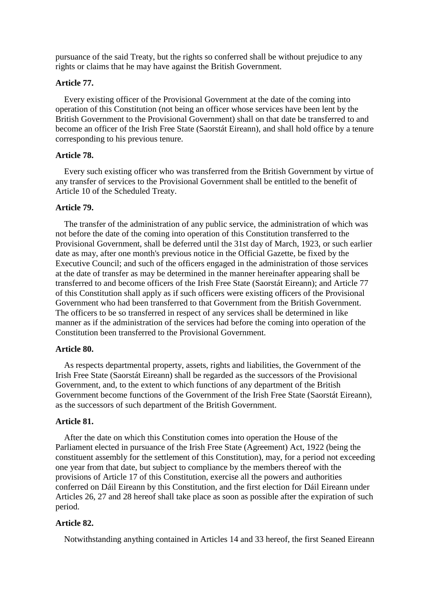pursuance of the said Treaty, but the rights so conferred shall be without prejudice to any rights or claims that he may have against the British Government.

#### **Article 77.**

Every existing officer of the Provisional Government at the date of the coming into operation of this Constitution (not being an officer whose services have been lent by the British Government to the Provisional Government) shall on that date be transferred to and become an officer of the Irish Free State (Saorstát Eireann), and shall hold office by a tenure corresponding to his previous tenure.

# **Article 78.**

Every such existing officer who was transferred from the British Government by virtue of any transfer of services to the Provisional Government shall be entitled to the benefit of Article 10 of the Scheduled Treaty.

## **Article 79.**

The transfer of the administration of any public service, the administration of which was not before the date of the coming into operation of this Constitution transferred to the Provisional Government, shall be deferred until the 31st day of March, 1923, or such earlier date as may, after one month's previous notice in the Official Gazette, be fixed by the Executive Council; and such of the officers engaged in the administration of those services at the date of transfer as may be determined in the manner hereinafter appearing shall be transferred to and become officers of the Irish Free State (Saorstát Eireann); and Article 77 of this Constitution shall apply as if such officers were existing officers of the Provisional Government who had been transferred to that Government from the British Government. The officers to be so transferred in respect of any services shall be determined in like manner as if the administration of the services had before the coming into operation of the Constitution been transferred to the Provisional Government.

#### **Article 80.**

As respects departmental property, assets, rights and liabilities, the Government of the Irish Free State (Saorstát Eireann) shall be regarded as the successors of the Provisional Government, and, to the extent to which functions of any department of the British Government become functions of the Government of the Irish Free State (Saorstát Eireann), as the successors of such department of the British Government.

#### **Article 81.**

After the date on which this Constitution comes into operation the House of the Parliament elected in pursuance of the Irish Free State (Agreement) Act, 1922 (being the constituent assembly for the settlement of this Constitution), may, for a period not exceeding one year from that date, but subject to compliance by the members thereof with the provisions of Article 17 of this Constitution, exercise all the powers and authorities conferred on Dáil Eireann by this Constitution, and the first election for Dáil Eireann under Articles 26, 27 and 28 hereof shall take place as soon as possible after the expiration of such period.

## **Article 82.**

Notwithstanding anything contained in Articles 14 and 33 hereof, the first Seaned Eireann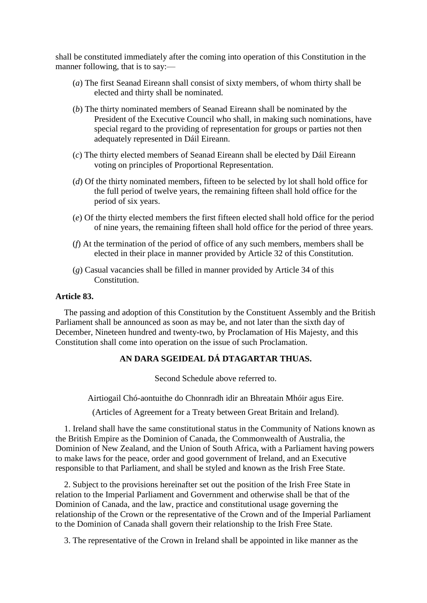shall be constituted immediately after the coming into operation of this Constitution in the manner following, that is to say:—

- (*a*) The first Seanad Eireann shall consist of sixty members, of whom thirty shall be elected and thirty shall be nominated.
- (*b*) The thirty nominated members of Seanad Eireann shall be nominated by the President of the Executive Council who shall, in making such nominations, have special regard to the providing of representation for groups or parties not then adequately represented in Dáil Eireann.
- (*c*) The thirty elected members of Seanad Eireann shall be elected by Dáil Eireann voting on principles of Proportional Representation.
- (*d*) Of the thirty nominated members, fifteen to be selected by lot shall hold office for the full period of twelve years, the remaining fifteen shall hold office for the period of six years.
- (*e*) Of the thirty elected members the first fifteen elected shall hold office for the period of nine years, the remaining fifteen shall hold office for the period of three years.
- (*f*) At the termination of the period of office of any such members, members shall be elected in their place in manner provided by Article 32 of this Constitution.
- (*g*) Casual vacancies shall be filled in manner provided by Article 34 of this **Constitution**

## **Article 83.**

The passing and adoption of this Constitution by the Constituent Assembly and the British Parliament shall be announced as soon as may be, and not later than the sixth day of December, Nineteen hundred and twenty-two, by Proclamation of His Majesty, and this Constitution shall come into operation on the issue of such Proclamation.

# **AN DARA SGEIDEAL DÁ DTAGARTAR THUAS.**

Second Schedule above referred to.

Airtiogail Chó-aontuithe do Chonnradh idir an Bhreatain Mhóir agus Eire.

(Articles of Agreement for a Treaty between Great Britain and Ireland).

1. Ireland shall have the same constitutional status in the Community of Nations known as the British Empire as the Dominion of Canada, the Commonwealth of Australia, the Dominion of New Zealand, and the Union of South Africa, with a Parliament having powers to make laws for the peace, order and good government of Ireland, and an Executive responsible to that Parliament, and shall be styled and known as the Irish Free State.

2. Subject to the provisions hereinafter set out the position of the Irish Free State in relation to the Imperial Parliament and Government and otherwise shall be that of the Dominion of Canada, and the law, practice and constitutional usage governing the relationship of the Crown or the representative of the Crown and of the Imperial Parliament to the Dominion of Canada shall govern their relationship to the Irish Free State.

3. The representative of the Crown in Ireland shall be appointed in like manner as the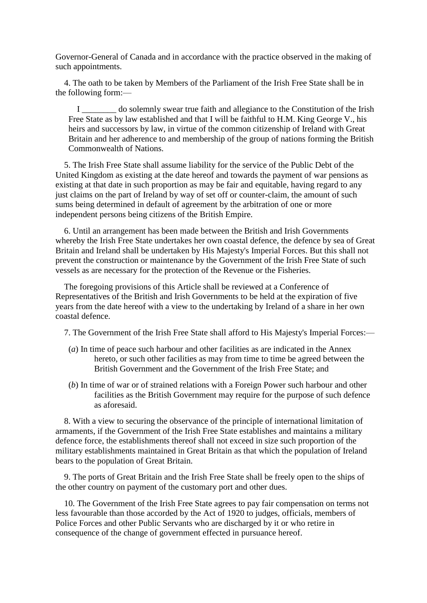Governor-General of Canada and in accordance with the practice observed in the making of such appointments.

4. The oath to be taken by Members of the Parliament of the Irish Free State shall be in the following form:—

I \_\_\_\_\_\_\_\_ do solemnly swear true faith and allegiance to the Constitution of the Irish Free State as by law established and that I will be faithful to H.M. King George V., his heirs and successors by law, in virtue of the common citizenship of Ireland with Great Britain and her adherence to and membership of the group of nations forming the British Commonwealth of Nations.

5. The Irish Free State shall assume liability for the service of the Public Debt of the United Kingdom as existing at the date hereof and towards the payment of war pensions as existing at that date in such proportion as may be fair and equitable, having regard to any just claims on the part of Ireland by way of set off or counter-claim, the amount of such sums being determined in default of agreement by the arbitration of one or more independent persons being citizens of the British Empire.

6. Until an arrangement has been made between the British and Irish Governments whereby the Irish Free State undertakes her own coastal defence, the defence by sea of Great Britain and Ireland shall be undertaken by His Majesty's Imperial Forces. But this shall not prevent the construction or maintenance by the Government of the Irish Free State of such vessels as are necessary for the protection of the Revenue or the Fisheries.

The foregoing provisions of this Article shall be reviewed at a Conference of Representatives of the British and Irish Governments to be held at the expiration of five years from the date hereof with a view to the undertaking by Ireland of a share in her own coastal defence.

7. The Government of the Irish Free State shall afford to His Majesty's Imperial Forces:—

- (*a*) In time of peace such harbour and other facilities as are indicated in the Annex hereto, or such other facilities as may from time to time be agreed between the British Government and the Government of the Irish Free State; and
- (*b*) In time of war or of strained relations with a Foreign Power such harbour and other facilities as the British Government may require for the purpose of such defence as aforesaid.

8. With a view to securing the observance of the principle of international limitation of armaments, if the Government of the Irish Free State establishes and maintains a military defence force, the establishments thereof shall not exceed in size such proportion of the military establishments maintained in Great Britain as that which the population of Ireland bears to the population of Great Britain.

9. The ports of Great Britain and the Irish Free State shall be freely open to the ships of the other country on payment of the customary port and other dues.

10. The Government of the Irish Free State agrees to pay fair compensation on terms not less favourable than those accorded by the Act of 1920 to judges, officials, members of Police Forces and other Public Servants who are discharged by it or who retire in consequence of the change of government effected in pursuance hereof.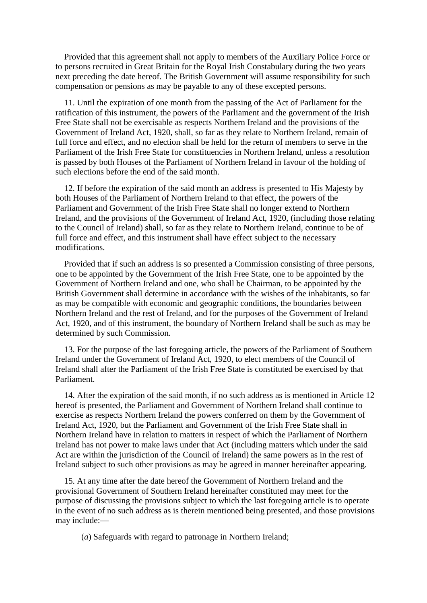Provided that this agreement shall not apply to members of the Auxiliary Police Force or to persons recruited in Great Britain for the Royal Irish Constabulary during the two years next preceding the date hereof. The British Government will assume responsibility for such compensation or pensions as may be payable to any of these excepted persons.

11. Until the expiration of one month from the passing of the Act of Parliament for the ratification of this instrument, the powers of the Parliament and the government of the Irish Free State shall not be exercisable as respects Northern Ireland and the provisions of the Government of Ireland Act, 1920, shall, so far as they relate to Northern Ireland, remain of full force and effect, and no election shall be held for the return of members to serve in the Parliament of the Irish Free State for constituencies in Northern Ireland, unless a resolution is passed by both Houses of the Parliament of Northern Ireland in favour of the holding of such elections before the end of the said month.

12. If before the expiration of the said month an address is presented to His Majesty by both Houses of the Parliament of Northern Ireland to that effect, the powers of the Parliament and Government of the Irish Free State shall no longer extend to Northern Ireland, and the provisions of the Government of Ireland Act, 1920, (including those relating to the Council of Ireland) shall, so far as they relate to Northern Ireland, continue to be of full force and effect, and this instrument shall have effect subject to the necessary modifications.

Provided that if such an address is so presented a Commission consisting of three persons, one to be appointed by the Government of the Irish Free State, one to be appointed by the Government of Northern Ireland and one, who shall be Chairman, to be appointed by the British Government shall determine in accordance with the wishes of the inhabitants, so far as may be compatible with economic and geographic conditions, the boundaries between Northern Ireland and the rest of Ireland, and for the purposes of the Government of Ireland Act, 1920, and of this instrument, the boundary of Northern Ireland shall be such as may be determined by such Commission.

13. For the purpose of the last foregoing article, the powers of the Parliament of Southern Ireland under the Government of Ireland Act, 1920, to elect members of the Council of Ireland shall after the Parliament of the Irish Free State is constituted be exercised by that Parliament.

14. After the expiration of the said month, if no such address as is mentioned in Article 12 hereof is presented, the Parliament and Government of Northern Ireland shall continue to exercise as respects Northern Ireland the powers conferred on them by the Government of Ireland Act, 1920, but the Parliament and Government of the Irish Free State shall in Northern Ireland have in relation to matters in respect of which the Parliament of Northern Ireland has not power to make laws under that Act (including matters which under the said Act are within the jurisdiction of the Council of Ireland) the same powers as in the rest of Ireland subject to such other provisions as may be agreed in manner hereinafter appearing.

15. At any time after the date hereof the Government of Northern Ireland and the provisional Government of Southern Ireland hereinafter constituted may meet for the purpose of discussing the provisions subject to which the last foregoing article is to operate in the event of no such address as is therein mentioned being presented, and those provisions may include:—

(*a*) Safeguards with regard to patronage in Northern Ireland;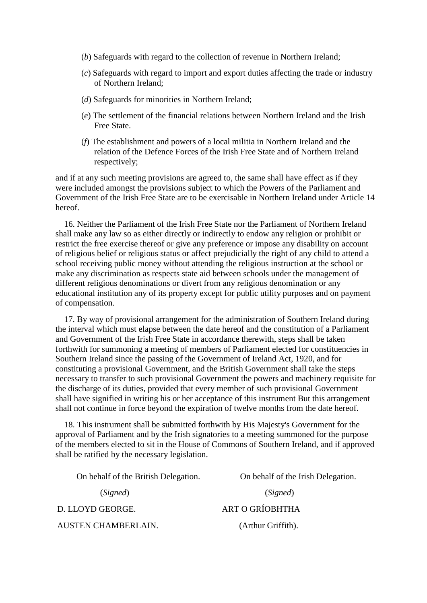- (*b*) Safeguards with regard to the collection of revenue in Northern Ireland;
- (*c*) Safeguards with regard to import and export duties affecting the trade or industry of Northern Ireland;
- (*d*) Safeguards for minorities in Northern Ireland;
- (*e*) The settlement of the financial relations between Northern Ireland and the Irish Free State.
- (*f*) The establishment and powers of a local militia in Northern Ireland and the relation of the Defence Forces of the Irish Free State and of Northern Ireland respectively;

and if at any such meeting provisions are agreed to, the same shall have effect as if they were included amongst the provisions subject to which the Powers of the Parliament and Government of the Irish Free State are to be exercisable in Northern Ireland under Article 14 hereof.

16. Neither the Parliament of the Irish Free State nor the Parliament of Northern Ireland shall make any law so as either directly or indirectly to endow any religion or prohibit or restrict the free exercise thereof or give any preference or impose any disability on account of religious belief or religious status or affect prejudicially the right of any child to attend a school receiving public money without attending the religious instruction at the school or make any discrimination as respects state aid between schools under the management of different religious denominations or divert from any religious denomination or any educational institution any of its property except for public utility purposes and on payment of compensation.

17. By way of provisional arrangement for the administration of Southern Ireland during the interval which must elapse between the date hereof and the constitution of a Parliament and Government of the Irish Free State in accordance therewith, steps shall be taken forthwith for summoning a meeting of members of Parliament elected for constituencies in Southern Ireland since the passing of the Government of Ireland Act, 1920, and for constituting a provisional Government, and the British Government shall take the steps necessary to transfer to such provisional Government the powers and machinery requisite for the discharge of its duties, provided that every member of such provisional Government shall have signified in writing his or her acceptance of this instrument But this arrangement shall not continue in force beyond the expiration of twelve months from the date hereof.

18. This instrument shall be submitted forthwith by His Majesty's Government for the approval of Parliament and by the Irish signatories to a meeting summoned for the purpose of the members elected to sit in the House of Commons of Southern Ireland, and if approved shall be ratified by the necessary legislation.

On behalf of the British Delegation. On behalf of the Irish Delegation.

AUSTEN CHAMBERLAIN. (Arthur Griffith).

(*Signed*) (*Signed*) D. LLOYD GEORGE. ART O GRÍOBHTHA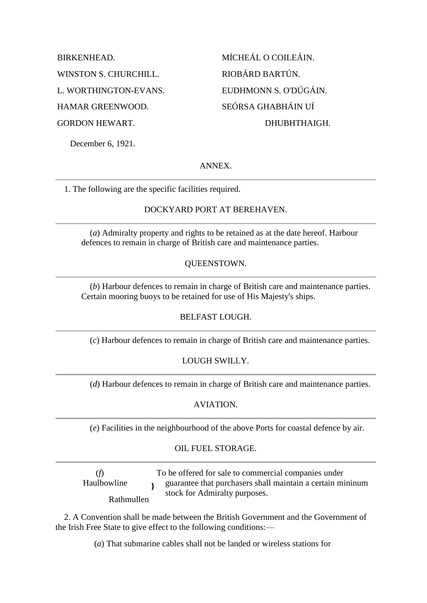WINSTON S. CHURCHILL. RIOBÁRD BARTÚN. L. WORTHINGTON-EVANS. EUDHMONN S. O'DÚGÁIN. HAMAR GREENWOOD. SEÓRSA GHABHÁIN UÍ

BIRKENHEAD. MÍCHEÁL O COILEÁIN. GORDON HEWART. THE CONFIDENTIAL STATE OF THE CORDON HEWART.

December 6, 1921.

## ANNEX.

1. The following are the specific facilities required.

# DOCKYARD PORT AT BEREHAVEN.

(*a*) Admiralty property and rights to be retained as at the date hereof. Harbour defences to remain in charge of British care and maintenance parties.

## QUEENSTOWN.

(*b*) Harbour defences to remain in charge of British care and maintenance parties. Certain mooring buoys to be retained for use of His Majesty's ships.

## BELFAST LOUGH.

(*c*) Harbour defences to remain in charge of British care and maintenance parties.

## LOUGH SWILLY.

(*d*) Harbour defences to remain in charge of British care and maintenance parties.

# AVIATION.

(*e*) Facilities in the neighbourhood of the above Ports for coastal defence by air.

## OIL FUEL STORAGE.

(*f*) Haulbowline **}** To be offered for sale to commercial companies under guarantee that purchasers shall maintain a certain mininum stock for Admiralty purposes. Rathmullen

2. A Convention shall be made between the British Government and the Government of the Irish Free State to give effect to the following conditions:—

(*a*) That submarine cables shall not be landed or wireless stations for